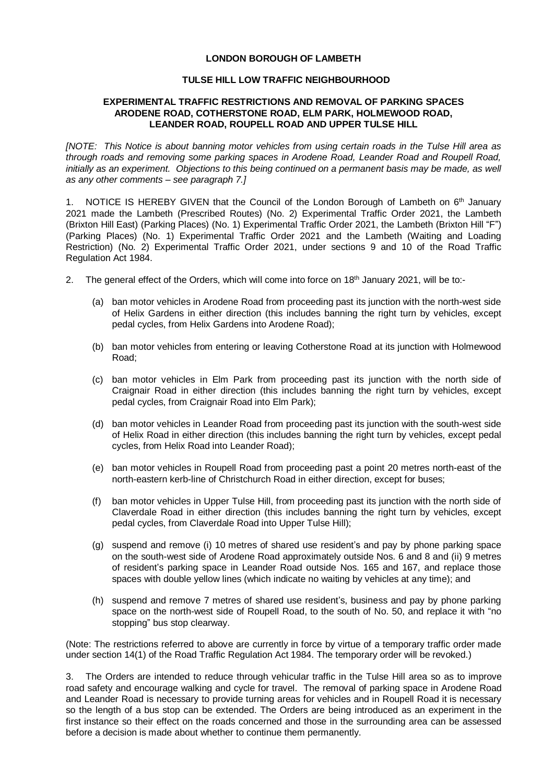## **LONDON BOROUGH OF LAMBETH**

## **TULSE HILL LOW TRAFFIC NEIGHBOURHOOD**

## **EXPERIMENTAL TRAFFIC RESTRICTIONS AND REMOVAL OF PARKING SPACES ARODENE ROAD, COTHERSTONE ROAD, ELM PARK, HOLMEWOOD ROAD, LEANDER ROAD, ROUPELL ROAD AND UPPER TULSE HILL**

*[NOTE: This Notice is about banning motor vehicles from using certain roads in the Tulse Hill area as through roads and removing some parking spaces in Arodene Road, Leander Road and Roupell Road, initially as an experiment. Objections to this being continued on a permanent basis may be made, as well as any other comments – see paragraph 7.]*

1. NOTICE IS HEREBY GIVEN that the Council of the London Borough of Lambeth on  $6<sup>th</sup>$  January 2021 made the Lambeth (Prescribed Routes) (No. 2) Experimental Traffic Order 2021, the Lambeth (Brixton Hill East) (Parking Places) (No. 1) Experimental Traffic Order 2021, the Lambeth (Brixton Hill "F") (Parking Places) (No. 1) Experimental Traffic Order 2021 and the Lambeth (Waiting and Loading Restriction) (No. 2) Experimental Traffic Order 2021, under sections 9 and 10 of the Road Traffic Regulation Act 1984.

- 2. The general effect of the Orders, which will come into force on 18<sup>th</sup> January 2021, will be to:-
	- (a) ban motor vehicles in Arodene Road from proceeding past its junction with the north-west side of Helix Gardens in either direction (this includes banning the right turn by vehicles, except pedal cycles, from Helix Gardens into Arodene Road);
	- (b) ban motor vehicles from entering or leaving Cotherstone Road at its junction with Holmewood Road;
	- (c) ban motor vehicles in Elm Park from proceeding past its junction with the north side of Craignair Road in either direction (this includes banning the right turn by vehicles, except pedal cycles, from Craignair Road into Elm Park);
	- (d) ban motor vehicles in Leander Road from proceeding past its junction with the south-west side of Helix Road in either direction (this includes banning the right turn by vehicles, except pedal cycles, from Helix Road into Leander Road);
	- (e) ban motor vehicles in Roupell Road from proceeding past a point 20 metres north-east of the north-eastern kerb-line of Christchurch Road in either direction, except for buses;
	- (f) ban motor vehicles in Upper Tulse Hill, from proceeding past its junction with the north side of Claverdale Road in either direction (this includes banning the right turn by vehicles, except pedal cycles, from Claverdale Road into Upper Tulse Hill);
	- (g) suspend and remove (i) 10 metres of shared use resident's and pay by phone parking space on the south-west side of Arodene Road approximately outside Nos. 6 and 8 and (ii) 9 metres of resident's parking space in Leander Road outside Nos. 165 and 167, and replace those spaces with double yellow lines (which indicate no waiting by vehicles at any time); and
	- (h) suspend and remove 7 metres of shared use resident's, business and pay by phone parking space on the north-west side of Roupell Road, to the south of No. 50, and replace it with "no stopping" bus stop clearway.

(Note: The restrictions referred to above are currently in force by virtue of a temporary traffic order made under section 14(1) of the Road Traffic Regulation Act 1984. The temporary order will be revoked.)

3. The Orders are intended to reduce through vehicular traffic in the Tulse Hill area so as to improve road safety and encourage walking and cycle for travel. The removal of parking space in Arodene Road and Leander Road is necessary to provide turning areas for vehicles and in Roupell Road it is necessary so the length of a bus stop can be extended. The Orders are being introduced as an experiment in the first instance so their effect on the roads concerned and those in the surrounding area can be assessed before a decision is made about whether to continue them permanently.